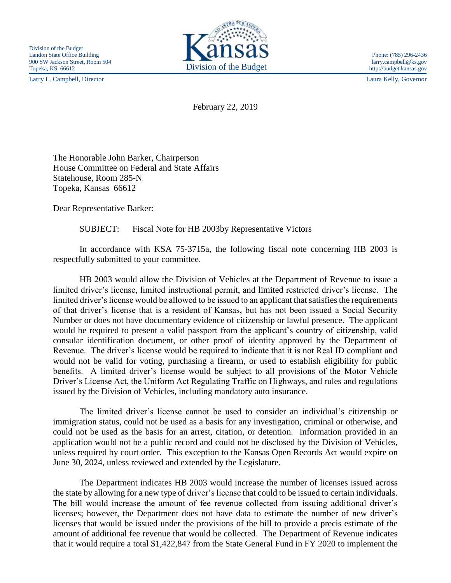Larry L. Campbell, Director Laura Kelly, Governor



http://budget.kansas.gov

February 22, 2019

The Honorable John Barker, Chairperson House Committee on Federal and State Affairs Statehouse, Room 285-N Topeka, Kansas 66612

Dear Representative Barker:

SUBJECT: Fiscal Note for HB 2003by Representative Victors

In accordance with KSA 75-3715a, the following fiscal note concerning HB 2003 is respectfully submitted to your committee.

HB 2003 would allow the Division of Vehicles at the Department of Revenue to issue a limited driver's license, limited instructional permit, and limited restricted driver's license. The limited driver's license would be allowed to be issued to an applicant that satisfies the requirements of that driver's license that is a resident of Kansas, but has not been issued a Social Security Number or does not have documentary evidence of citizenship or lawful presence. The applicant would be required to present a valid passport from the applicant's country of citizenship, valid consular identification document, or other proof of identity approved by the Department of Revenue. The driver's license would be required to indicate that it is not Real ID compliant and would not be valid for voting, purchasing a firearm, or used to establish eligibility for public benefits. A limited driver's license would be subject to all provisions of the Motor Vehicle Driver's License Act, the Uniform Act Regulating Traffic on Highways, and rules and regulations issued by the Division of Vehicles, including mandatory auto insurance.

The limited driver's license cannot be used to consider an individual's citizenship or immigration status, could not be used as a basis for any investigation, criminal or otherwise, and could not be used as the basis for an arrest, citation, or detention. Information provided in an application would not be a public record and could not be disclosed by the Division of Vehicles, unless required by court order. This exception to the Kansas Open Records Act would expire on June 30, 2024, unless reviewed and extended by the Legislature.

The Department indicates HB 2003 would increase the number of licenses issued across the state by allowing for a new type of driver's license that could to be issued to certain individuals. The bill would increase the amount of fee revenue collected from issuing additional driver's licenses; however, the Department does not have data to estimate the number of new driver's licenses that would be issued under the provisions of the bill to provide a precis estimate of the amount of additional fee revenue that would be collected. The Department of Revenue indicates that it would require a total \$1,422,847 from the State General Fund in FY 2020 to implement the